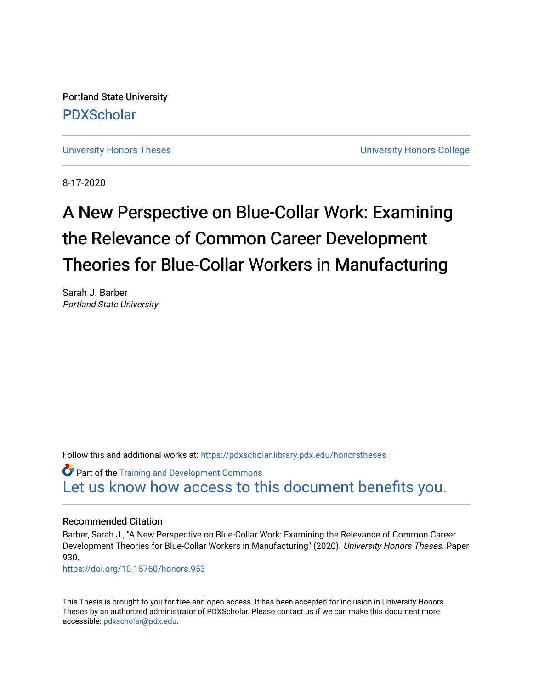Portland State University [PDXScholar](https://pdxscholar.library.pdx.edu/)

[University Honors Theses](https://pdxscholar.library.pdx.edu/honorstheses) **University Honors College** 

8-17-2020

# A New Perspective on Blue-Collar Work: Examining the Relevance of Common Career Development Theories for Blue-Collar Workers in Manufacturing

Sarah J. Barber Portland State University

Follow this and additional works at: [https://pdxscholar.library.pdx.edu/honorstheses](https://pdxscholar.library.pdx.edu/honorstheses?utm_source=pdxscholar.library.pdx.edu%2Fhonorstheses%2F930&utm_medium=PDF&utm_campaign=PDFCoverPages) 

Part of the [Training and Development Commons](http://network.bepress.com/hgg/discipline/1257?utm_source=pdxscholar.library.pdx.edu%2Fhonorstheses%2F930&utm_medium=PDF&utm_campaign=PDFCoverPages)  [Let us know how access to this document benefits you.](http://library.pdx.edu/services/pdxscholar-services/pdxscholar-feedback/) 

#### Recommended Citation

Barber, Sarah J., "A New Perspective on Blue-Collar Work: Examining the Relevance of Common Career Development Theories for Blue-Collar Workers in Manufacturing" (2020). University Honors Theses. Paper 930.

<https://doi.org/10.15760/honors.953>

This Thesis is brought to you for free and open access. It has been accepted for inclusion in University Honors Theses by an authorized administrator of PDXScholar. Please contact us if we can make this document more accessible: [pdxscholar@pdx.edu.](mailto:pdxscholar@pdx.edu)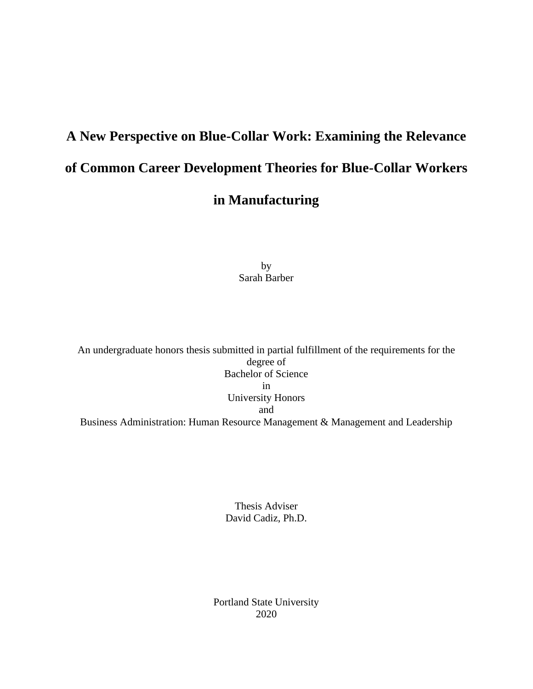# **A New Perspective on Blue-Collar Work: Examining the Relevance of Common Career Development Theories for Blue-Collar Workers in Manufacturing**

by Sarah Barber

An undergraduate honors thesis submitted in partial fulfillment of the requirements for the degree of Bachelor of Science in University Honors and Business Administration: Human Resource Management & Management and Leadership

> Thesis Adviser David Cadiz, Ph.D.

Portland State University 2020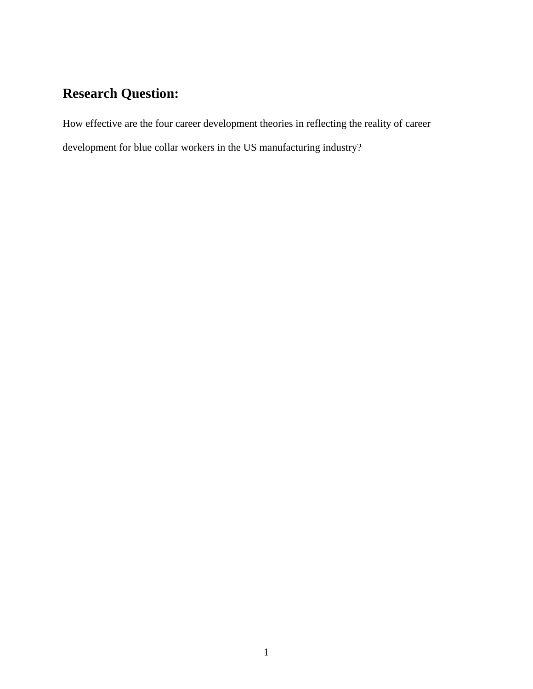# **Research Question:**

How effective are the four career development theories in reflecting the reality of career development for blue collar workers in the US manufacturing industry?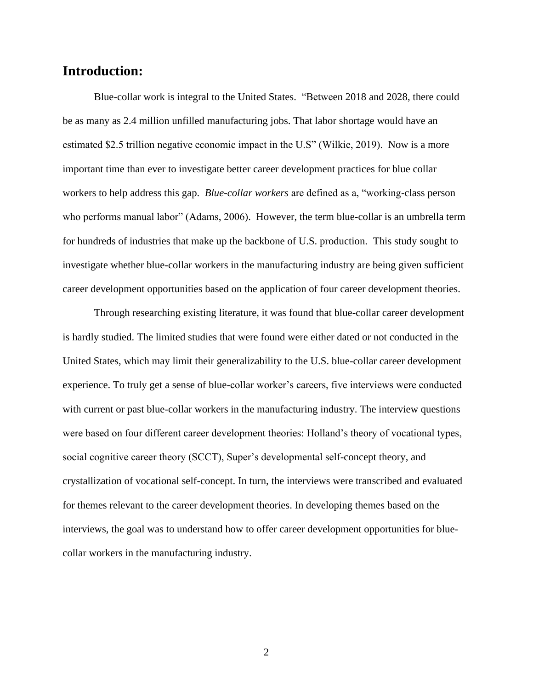### **Introduction:**

Blue-collar work is integral to the United States. "Between 2018 and 2028, there could be as many as 2.4 million unfilled manufacturing jobs. That labor shortage would have an estimated \$2.5 trillion negative economic impact in the U.S" (Wilkie, 2019). Now is a more important time than ever to investigate better career development practices for blue collar workers to help address this gap. *Blue-collar workers* are defined as a, "working-class person who performs manual labor" (Adams, 2006). However, the term blue-collar is an umbrella term for hundreds of industries that make up the backbone of U.S. production. This study sought to investigate whether blue-collar workers in the manufacturing industry are being given sufficient career development opportunities based on the application of four career development theories.

Through researching existing literature, it was found that blue-collar career development is hardly studied. The limited studies that were found were either dated or not conducted in the United States, which may limit their generalizability to the U.S. blue-collar career development experience. To truly get a sense of blue-collar worker's careers, five interviews were conducted with current or past blue-collar workers in the manufacturing industry. The interview questions were based on four different career development theories: Holland's theory of vocational types, social cognitive career theory (SCCT), Super's developmental self-concept theory, and crystallization of vocational self-concept. In turn, the interviews were transcribed and evaluated for themes relevant to the career development theories. In developing themes based on the interviews, the goal was to understand how to offer career development opportunities for bluecollar workers in the manufacturing industry.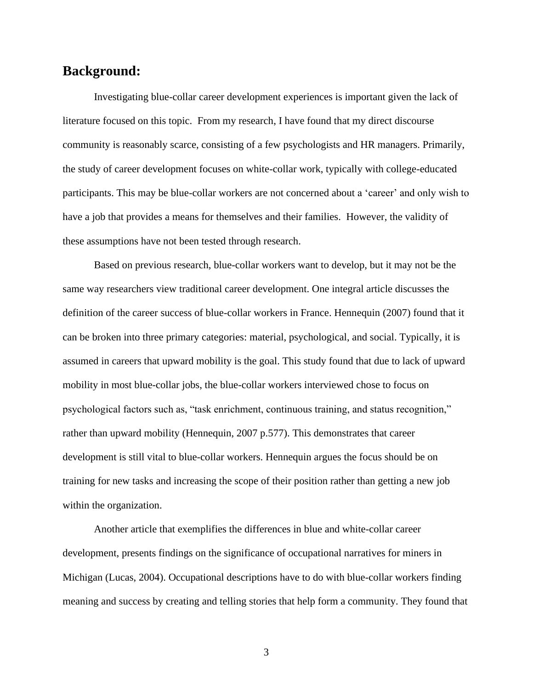## **Background:**

Investigating blue-collar career development experiences is important given the lack of literature focused on this topic. From my research, I have found that my direct discourse community is reasonably scarce, consisting of a few psychologists and HR managers. Primarily, the study of career development focuses on white-collar work, typically with college-educated participants. This may be blue-collar workers are not concerned about a 'career' and only wish to have a job that provides a means for themselves and their families. However, the validity of these assumptions have not been tested through research.

Based on previous research, blue-collar workers want to develop, but it may not be the same way researchers view traditional career development. One integral article discusses the definition of the career success of blue-collar workers in France. Hennequin (2007) found that it can be broken into three primary categories: material, psychological, and social. Typically, it is assumed in careers that upward mobility is the goal. This study found that due to lack of upward mobility in most blue-collar jobs, the blue-collar workers interviewed chose to focus on psychological factors such as, "task enrichment, continuous training, and status recognition," rather than upward mobility (Hennequin, 2007 p.577). This demonstrates that career development is still vital to blue-collar workers. Hennequin argues the focus should be on training for new tasks and increasing the scope of their position rather than getting a new job within the organization.

Another article that exemplifies the differences in blue and white-collar career development, presents findings on the significance of occupational narratives for miners in Michigan (Lucas, 2004). Occupational descriptions have to do with blue-collar workers finding meaning and success by creating and telling stories that help form a community. They found that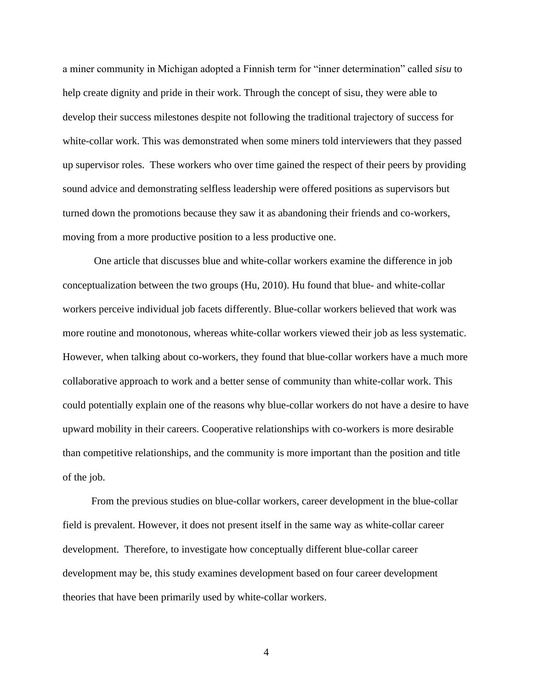a miner community in Michigan adopted a Finnish term for "inner determination" called *sisu* to help create dignity and pride in their work. Through the concept of sisu, they were able to develop their success milestones despite not following the traditional trajectory of success for white-collar work. This was demonstrated when some miners told interviewers that they passed up supervisor roles. These workers who over time gained the respect of their peers by providing sound advice and demonstrating selfless leadership were offered positions as supervisors but turned down the promotions because they saw it as abandoning their friends and co-workers, moving from a more productive position to a less productive one.

One article that discusses blue and white-collar workers examine the difference in job conceptualization between the two groups (Hu, 2010). Hu found that blue- and white-collar workers perceive individual job facets differently. Blue-collar workers believed that work was more routine and monotonous, whereas white-collar workers viewed their job as less systematic. However, when talking about co-workers, they found that blue-collar workers have a much more collaborative approach to work and a better sense of community than white-collar work. This could potentially explain one of the reasons why blue-collar workers do not have a desire to have upward mobility in their careers. Cooperative relationships with co-workers is more desirable than competitive relationships, and the community is more important than the position and title of the job.

From the previous studies on blue-collar workers, career development in the blue-collar field is prevalent. However, it does not present itself in the same way as white-collar career development. Therefore, to investigate how conceptually different blue-collar career development may be, this study examines development based on four career development theories that have been primarily used by white-collar workers.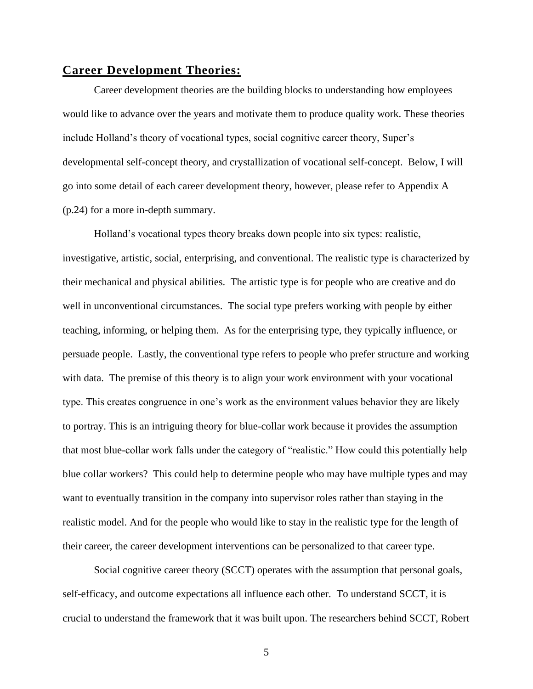#### **Career Development Theories:**

Career development theories are the building blocks to understanding how employees would like to advance over the years and motivate them to produce quality work. These theories include Holland's theory of vocational types, social cognitive career theory, Super's developmental self-concept theory, and crystallization of vocational self-concept. Below, I will go into some detail of each career development theory, however, please refer to Appendix A (p.24) for a more in-depth summary.

Holland's vocational types theory breaks down people into six types: realistic, investigative, artistic, social, enterprising, and conventional. The realistic type is characterized by their mechanical and physical abilities. The artistic type is for people who are creative and do well in unconventional circumstances. The social type prefers working with people by either teaching, informing, or helping them. As for the enterprising type, they typically influence, or persuade people. Lastly, the conventional type refers to people who prefer structure and working with data. The premise of this theory is to align your work environment with your vocational type. This creates congruence in one's work as the environment values behavior they are likely to portray. This is an intriguing theory for blue-collar work because it provides the assumption that most blue-collar work falls under the category of "realistic." How could this potentially help blue collar workers? This could help to determine people who may have multiple types and may want to eventually transition in the company into supervisor roles rather than staying in the realistic model. And for the people who would like to stay in the realistic type for the length of their career, the career development interventions can be personalized to that career type.

Social cognitive career theory (SCCT) operates with the assumption that personal goals, self-efficacy, and outcome expectations all influence each other. To understand SCCT, it is crucial to understand the framework that it was built upon. The researchers behind SCCT, Robert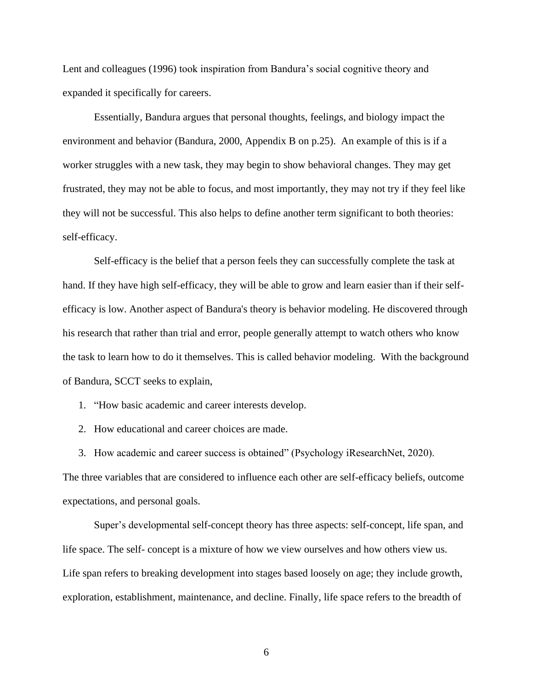Lent and colleagues (1996) took inspiration from Bandura's social cognitive theory and expanded it specifically for careers.

Essentially, Bandura argues that personal thoughts, feelings, and biology impact the environment and behavior (Bandura, 2000, Appendix B on p.25). An example of this is if a worker struggles with a new task, they may begin to show behavioral changes. They may get frustrated, they may not be able to focus, and most importantly, they may not try if they feel like they will not be successful. This also helps to define another term significant to both theories: self-efficacy.

Self-efficacy is the belief that a person feels they can successfully complete the task at hand. If they have high self-efficacy, they will be able to grow and learn easier than if their selfefficacy is low. Another aspect of Bandura's theory is behavior modeling. He discovered through his research that rather than trial and error, people generally attempt to watch others who know the task to learn how to do it themselves. This is called behavior modeling. With the background of Bandura, SCCT seeks to explain,

1. "How basic academic and career interests develop.

2. How educational and career choices are made.

3. How academic and career success is obtained" (Psychology iResearchNet, 2020).

The three variables that are considered to influence each other are self-efficacy beliefs, outcome expectations, and personal goals.

Super's developmental self-concept theory has three aspects: self-concept, life span, and life space. The self- concept is a mixture of how we view ourselves and how others view us. Life span refers to breaking development into stages based loosely on age; they include growth, exploration, establishment, maintenance, and decline. Finally, life space refers to the breadth of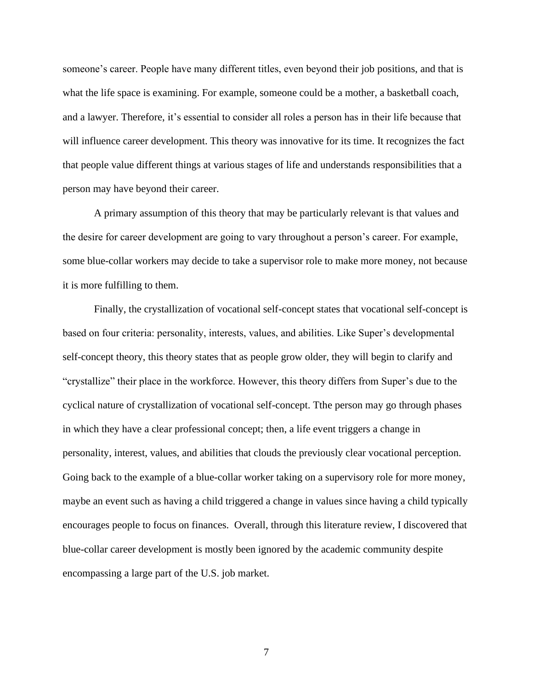someone's career. People have many different titles, even beyond their job positions, and that is what the life space is examining. For example, someone could be a mother, a basketball coach, and a lawyer. Therefore, it's essential to consider all roles a person has in their life because that will influence career development. This theory was innovative for its time. It recognizes the fact that people value different things at various stages of life and understands responsibilities that a person may have beyond their career.

A primary assumption of this theory that may be particularly relevant is that values and the desire for career development are going to vary throughout a person's career. For example, some blue-collar workers may decide to take a supervisor role to make more money, not because it is more fulfilling to them.

Finally, the crystallization of vocational self-concept states that vocational self-concept is based on four criteria: personality, interests, values, and abilities. Like Super's developmental self-concept theory, this theory states that as people grow older, they will begin to clarify and "crystallize" their place in the workforce. However, this theory differs from Super's due to the cyclical nature of crystallization of vocational self-concept. Tthe person may go through phases in which they have a clear professional concept; then, a life event triggers a change in personality, interest, values, and abilities that clouds the previously clear vocational perception. Going back to the example of a blue-collar worker taking on a supervisory role for more money, maybe an event such as having a child triggered a change in values since having a child typically encourages people to focus on finances. Overall, through this literature review, I discovered that blue-collar career development is mostly been ignored by the academic community despite encompassing a large part of the U.S. job market.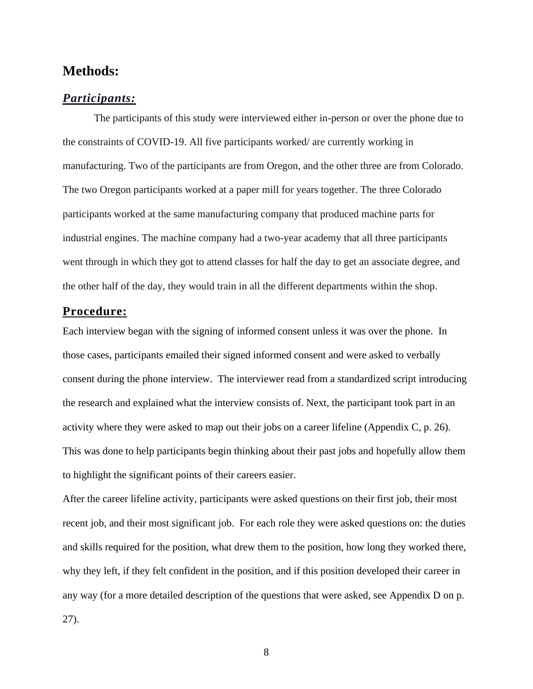### **Methods:**

#### *Participants:*

The participants of this study were interviewed either in-person or over the phone due to the constraints of COVID-19. All five participants worked/ are currently working in manufacturing. Two of the participants are from Oregon, and the other three are from Colorado. The two Oregon participants worked at a paper mill for years together. The three Colorado participants worked at the same manufacturing company that produced machine parts for industrial engines. The machine company had a two-year academy that all three participants went through in which they got to attend classes for half the day to get an associate degree, and the other half of the day, they would train in all the different departments within the shop.

#### **Procedure:**

Each interview began with the signing of informed consent unless it was over the phone. In those cases, participants emailed their signed informed consent and were asked to verbally consent during the phone interview. The interviewer read from a standardized script introducing the research and explained what the interview consists of. Next, the participant took part in an activity where they were asked to map out their jobs on a career lifeline (Appendix C, p. 26). This was done to help participants begin thinking about their past jobs and hopefully allow them to highlight the significant points of their careers easier.

After the career lifeline activity, participants were asked questions on their first job, their most recent job, and their most significant job. For each role they were asked questions on: the duties and skills required for the position, what drew them to the position, how long they worked there, why they left, if they felt confident in the position, and if this position developed their career in any way (for a more detailed description of the questions that were asked, see Appendix D on p. 27).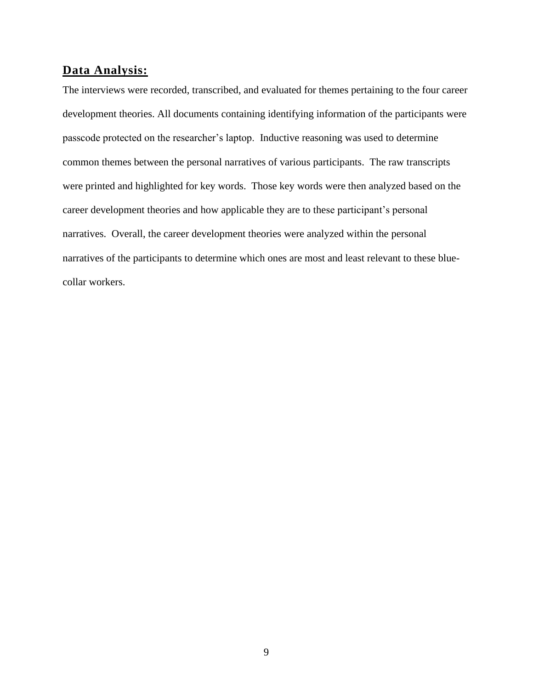#### **Data Analysis:**

The interviews were recorded, transcribed, and evaluated for themes pertaining to the four career development theories. All documents containing identifying information of the participants were passcode protected on the researcher's laptop. Inductive reasoning was used to determine common themes between the personal narratives of various participants. The raw transcripts were printed and highlighted for key words. Those key words were then analyzed based on the career development theories and how applicable they are to these participant's personal narratives. Overall, the career development theories were analyzed within the personal narratives of the participants to determine which ones are most and least relevant to these bluecollar workers.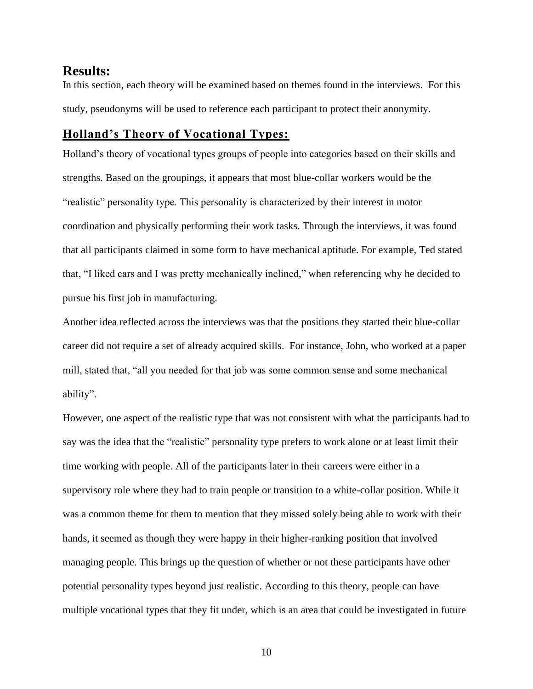#### **Results:**

In this section, each theory will be examined based on themes found in the interviews. For this study, pseudonyms will be used to reference each participant to protect their anonymity.

#### **Holland's Theory of Vocational Types:**

Holland's theory of vocational types groups of people into categories based on their skills and strengths. Based on the groupings, it appears that most blue-collar workers would be the "realistic" personality type. This personality is characterized by their interest in motor coordination and physically performing their work tasks. Through the interviews, it was found that all participants claimed in some form to have mechanical aptitude. For example, Ted stated that, "I liked cars and I was pretty mechanically inclined," when referencing why he decided to pursue his first job in manufacturing.

Another idea reflected across the interviews was that the positions they started their blue-collar career did not require a set of already acquired skills. For instance, John, who worked at a paper mill, stated that, "all you needed for that job was some common sense and some mechanical ability".

However, one aspect of the realistic type that was not consistent with what the participants had to say was the idea that the "realistic" personality type prefers to work alone or at least limit their time working with people. All of the participants later in their careers were either in a supervisory role where they had to train people or transition to a white-collar position. While it was a common theme for them to mention that they missed solely being able to work with their hands, it seemed as though they were happy in their higher-ranking position that involved managing people. This brings up the question of whether or not these participants have other potential personality types beyond just realistic. According to this theory, people can have multiple vocational types that they fit under, which is an area that could be investigated in future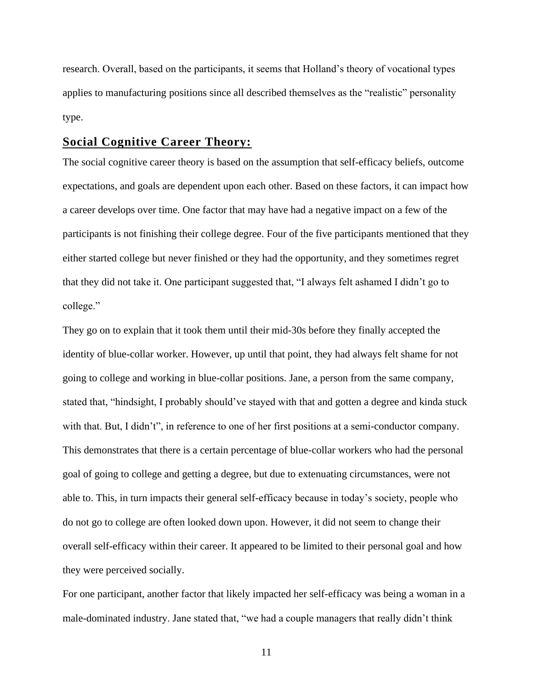research. Overall, based on the participants, it seems that Holland's theory of vocational types applies to manufacturing positions since all described themselves as the "realistic" personality type.

#### **Social Cognitive Career Theory:**

The social cognitive career theory is based on the assumption that self-efficacy beliefs, outcome expectations, and goals are dependent upon each other. Based on these factors, it can impact how a career develops over time. One factor that may have had a negative impact on a few of the participants is not finishing their college degree. Four of the five participants mentioned that they either started college but never finished or they had the opportunity, and they sometimes regret that they did not take it. One participant suggested that, "I always felt ashamed I didn't go to college."

They go on to explain that it took them until their mid-30s before they finally accepted the identity of blue-collar worker. However, up until that point, they had always felt shame for not going to college and working in blue-collar positions. Jane, a person from the same company, stated that, "hindsight, I probably should've stayed with that and gotten a degree and kinda stuck with that. But, I didn't", in reference to one of her first positions at a semi-conductor company. This demonstrates that there is a certain percentage of blue-collar workers who had the personal goal of going to college and getting a degree, but due to extenuating circumstances, were not able to. This, in turn impacts their general self-efficacy because in today's society, people who do not go to college are often looked down upon. However, it did not seem to change their overall self-efficacy within their career. It appeared to be limited to their personal goal and how they were perceived socially.

For one participant, another factor that likely impacted her self-efficacy was being a woman in a male-dominated industry. Jane stated that, "we had a couple managers that really didn't think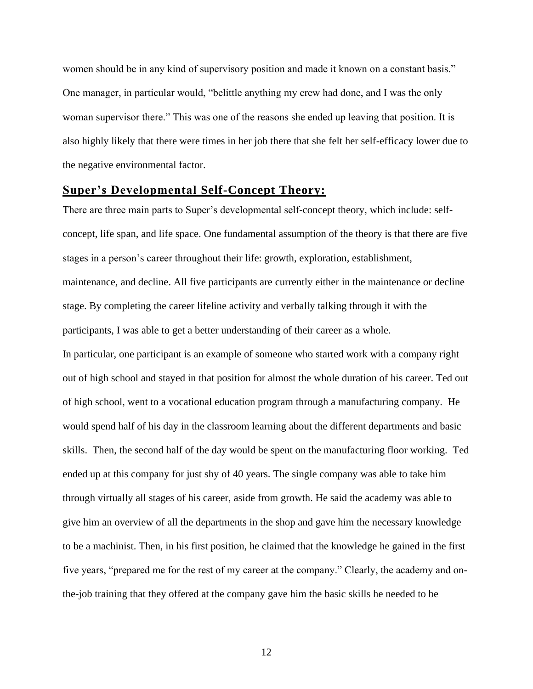women should be in any kind of supervisory position and made it known on a constant basis." One manager, in particular would, "belittle anything my crew had done, and I was the only woman supervisor there." This was one of the reasons she ended up leaving that position. It is also highly likely that there were times in her job there that she felt her self-efficacy lower due to the negative environmental factor.

#### **Super's Developmental Self-Concept Theory:**

There are three main parts to Super's developmental self-concept theory, which include: selfconcept, life span, and life space. One fundamental assumption of the theory is that there are five stages in a person's career throughout their life: growth, exploration, establishment, maintenance, and decline. All five participants are currently either in the maintenance or decline stage. By completing the career lifeline activity and verbally talking through it with the participants, I was able to get a better understanding of their career as a whole. In particular, one participant is an example of someone who started work with a company right out of high school and stayed in that position for almost the whole duration of his career. Ted out of high school, went to a vocational education program through a manufacturing company. He would spend half of his day in the classroom learning about the different departments and basic skills. Then, the second half of the day would be spent on the manufacturing floor working. Ted ended up at this company for just shy of 40 years. The single company was able to take him through virtually all stages of his career, aside from growth. He said the academy was able to give him an overview of all the departments in the shop and gave him the necessary knowledge to be a machinist. Then, in his first position, he claimed that the knowledge he gained in the first five years, "prepared me for the rest of my career at the company." Clearly, the academy and onthe-job training that they offered at the company gave him the basic skills he needed to be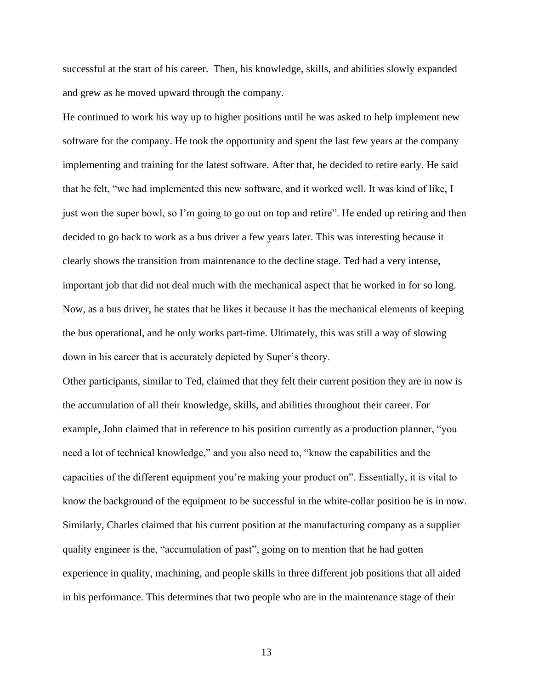successful at the start of his career. Then, his knowledge, skills, and abilities slowly expanded and grew as he moved upward through the company.

He continued to work his way up to higher positions until he was asked to help implement new software for the company. He took the opportunity and spent the last few years at the company implementing and training for the latest software. After that, he decided to retire early. He said that he felt, "we had implemented this new software, and it worked well. It was kind of like, I just won the super bowl, so I'm going to go out on top and retire". He ended up retiring and then decided to go back to work as a bus driver a few years later. This was interesting because it clearly shows the transition from maintenance to the decline stage. Ted had a very intense, important job that did not deal much with the mechanical aspect that he worked in for so long. Now, as a bus driver, he states that he likes it because it has the mechanical elements of keeping the bus operational, and he only works part-time. Ultimately, this was still a way of slowing down in his career that is accurately depicted by Super's theory.

Other participants, similar to Ted, claimed that they felt their current position they are in now is the accumulation of all their knowledge, skills, and abilities throughout their career. For example, John claimed that in reference to his position currently as a production planner, "you need a lot of technical knowledge," and you also need to, "know the capabilities and the capacities of the different equipment you're making your product on". Essentially, it is vital to know the background of the equipment to be successful in the white-collar position he is in now. Similarly, Charles claimed that his current position at the manufacturing company as a supplier quality engineer is the, "accumulation of past", going on to mention that he had gotten experience in quality, machining, and people skills in three different job positions that all aided in his performance. This determines that two people who are in the maintenance stage of their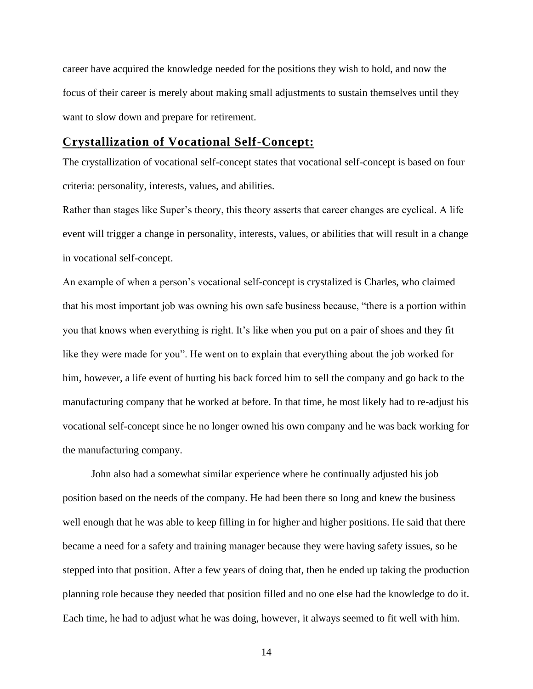career have acquired the knowledge needed for the positions they wish to hold, and now the focus of their career is merely about making small adjustments to sustain themselves until they want to slow down and prepare for retirement.

#### **Crystallization of Vocational Self-Concept:**

The crystallization of vocational self-concept states that vocational self-concept is based on four criteria: personality, interests, values, and abilities.

Rather than stages like Super's theory, this theory asserts that career changes are cyclical. A life event will trigger a change in personality, interests, values, or abilities that will result in a change in vocational self-concept.

An example of when a person's vocational self-concept is crystalized is Charles, who claimed that his most important job was owning his own safe business because, "there is a portion within you that knows when everything is right. It's like when you put on a pair of shoes and they fit like they were made for you". He went on to explain that everything about the job worked for him, however, a life event of hurting his back forced him to sell the company and go back to the manufacturing company that he worked at before. In that time, he most likely had to re-adjust his vocational self-concept since he no longer owned his own company and he was back working for the manufacturing company.

John also had a somewhat similar experience where he continually adjusted his job position based on the needs of the company. He had been there so long and knew the business well enough that he was able to keep filling in for higher and higher positions. He said that there became a need for a safety and training manager because they were having safety issues, so he stepped into that position. After a few years of doing that, then he ended up taking the production planning role because they needed that position filled and no one else had the knowledge to do it. Each time, he had to adjust what he was doing, however, it always seemed to fit well with him.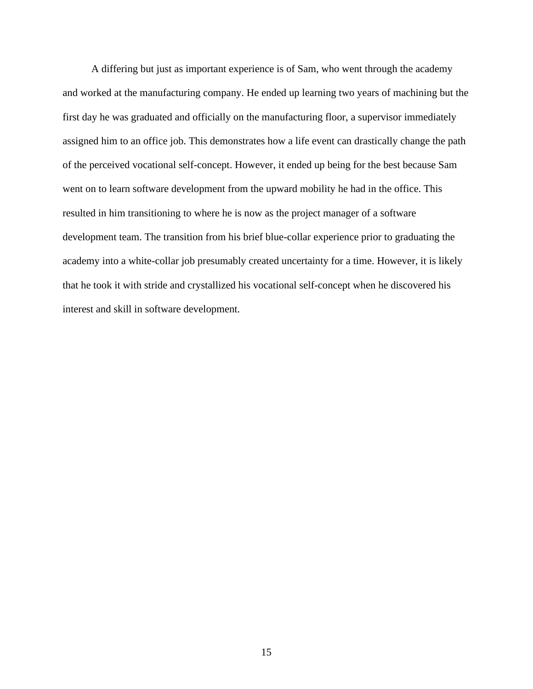A differing but just as important experience is of Sam, who went through the academy and worked at the manufacturing company. He ended up learning two years of machining but the first day he was graduated and officially on the manufacturing floor, a supervisor immediately assigned him to an office job. This demonstrates how a life event can drastically change the path of the perceived vocational self-concept. However, it ended up being for the best because Sam went on to learn software development from the upward mobility he had in the office. This resulted in him transitioning to where he is now as the project manager of a software development team. The transition from his brief blue-collar experience prior to graduating the academy into a white-collar job presumably created uncertainty for a time. However, it is likely that he took it with stride and crystallized his vocational self-concept when he discovered his interest and skill in software development.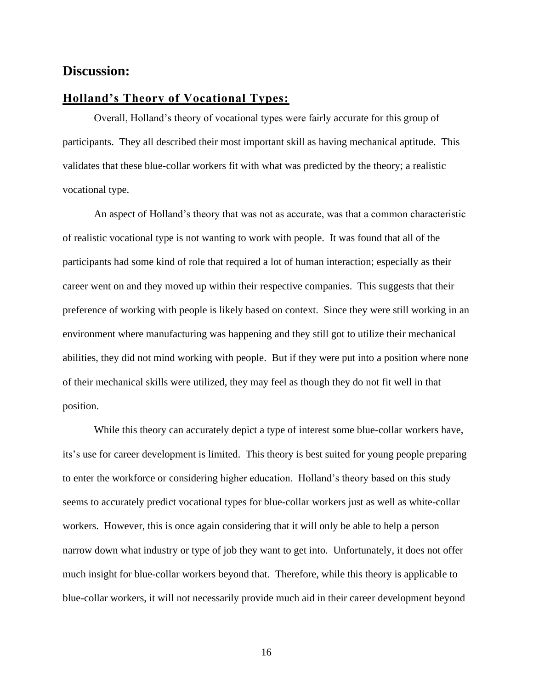### **Discussion:**

#### **Holland's Theory of Vocational Types:**

Overall, Holland's theory of vocational types were fairly accurate for this group of participants. They all described their most important skill as having mechanical aptitude. This validates that these blue-collar workers fit with what was predicted by the theory; a realistic vocational type.

An aspect of Holland's theory that was not as accurate, was that a common characteristic of realistic vocational type is not wanting to work with people. It was found that all of the participants had some kind of role that required a lot of human interaction; especially as their career went on and they moved up within their respective companies. This suggests that their preference of working with people is likely based on context. Since they were still working in an environment where manufacturing was happening and they still got to utilize their mechanical abilities, they did not mind working with people. But if they were put into a position where none of their mechanical skills were utilized, they may feel as though they do not fit well in that position.

While this theory can accurately depict a type of interest some blue-collar workers have, its's use for career development is limited. This theory is best suited for young people preparing to enter the workforce or considering higher education. Holland's theory based on this study seems to accurately predict vocational types for blue-collar workers just as well as white-collar workers. However, this is once again considering that it will only be able to help a person narrow down what industry or type of job they want to get into. Unfortunately, it does not offer much insight for blue-collar workers beyond that. Therefore, while this theory is applicable to blue-collar workers, it will not necessarily provide much aid in their career development beyond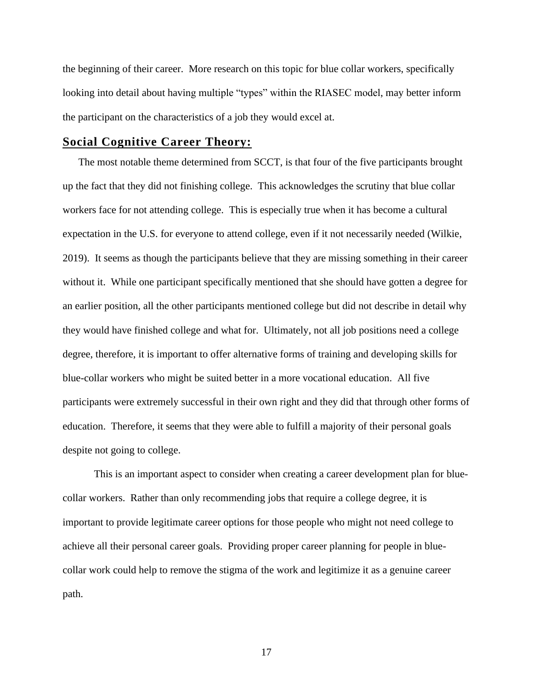the beginning of their career. More research on this topic for blue collar workers, specifically looking into detail about having multiple "types" within the RIASEC model, may better inform the participant on the characteristics of a job they would excel at.

#### **Social Cognitive Career Theory:**

The most notable theme determined from SCCT, is that four of the five participants brought up the fact that they did not finishing college. This acknowledges the scrutiny that blue collar workers face for not attending college. This is especially true when it has become a cultural expectation in the U.S. for everyone to attend college, even if it not necessarily needed (Wilkie, 2019). It seems as though the participants believe that they are missing something in their career without it. While one participant specifically mentioned that she should have gotten a degree for an earlier position, all the other participants mentioned college but did not describe in detail why they would have finished college and what for. Ultimately, not all job positions need a college degree, therefore, it is important to offer alternative forms of training and developing skills for blue-collar workers who might be suited better in a more vocational education. All five participants were extremely successful in their own right and they did that through other forms of education. Therefore, it seems that they were able to fulfill a majority of their personal goals despite not going to college.

This is an important aspect to consider when creating a career development plan for bluecollar workers. Rather than only recommending jobs that require a college degree, it is important to provide legitimate career options for those people who might not need college to achieve all their personal career goals. Providing proper career planning for people in bluecollar work could help to remove the stigma of the work and legitimize it as a genuine career path.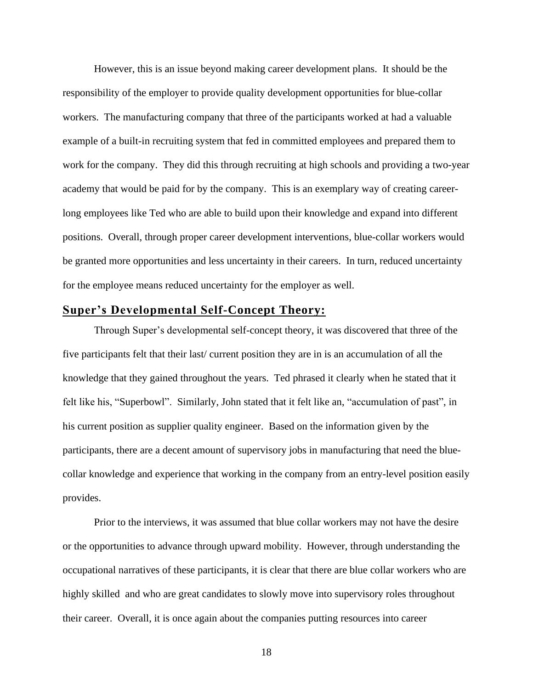However, this is an issue beyond making career development plans. It should be the responsibility of the employer to provide quality development opportunities for blue-collar workers. The manufacturing company that three of the participants worked at had a valuable example of a built-in recruiting system that fed in committed employees and prepared them to work for the company. They did this through recruiting at high schools and providing a two-year academy that would be paid for by the company. This is an exemplary way of creating careerlong employees like Ted who are able to build upon their knowledge and expand into different positions. Overall, through proper career development interventions, blue-collar workers would be granted more opportunities and less uncertainty in their careers. In turn, reduced uncertainty for the employee means reduced uncertainty for the employer as well.

#### **Super's Developmental Self-Concept Theory:**

Through Super's developmental self-concept theory, it was discovered that three of the five participants felt that their last/ current position they are in is an accumulation of all the knowledge that they gained throughout the years. Ted phrased it clearly when he stated that it felt like his, "Superbowl". Similarly, John stated that it felt like an, "accumulation of past", in his current position as supplier quality engineer. Based on the information given by the participants, there are a decent amount of supervisory jobs in manufacturing that need the bluecollar knowledge and experience that working in the company from an entry-level position easily provides.

Prior to the interviews, it was assumed that blue collar workers may not have the desire or the opportunities to advance through upward mobility. However, through understanding the occupational narratives of these participants, it is clear that there are blue collar workers who are highly skilled and who are great candidates to slowly move into supervisory roles throughout their career. Overall, it is once again about the companies putting resources into career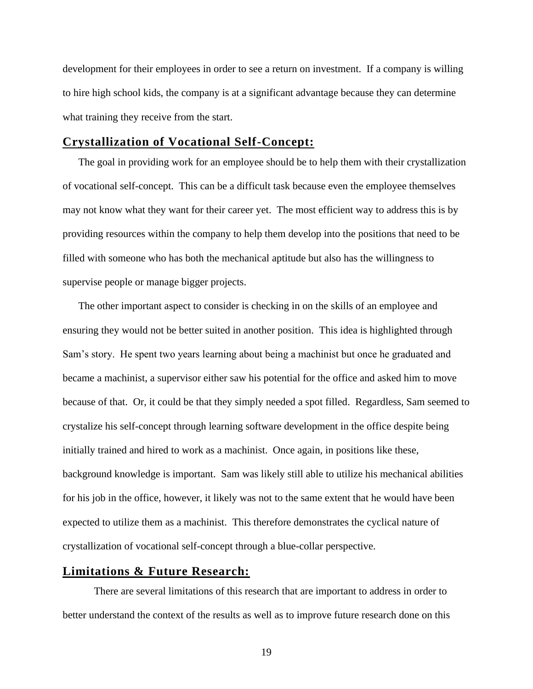development for their employees in order to see a return on investment. If a company is willing to hire high school kids, the company is at a significant advantage because they can determine what training they receive from the start.

#### **Crystallization of Vocational Self-Concept:**

The goal in providing work for an employee should be to help them with their crystallization of vocational self-concept. This can be a difficult task because even the employee themselves may not know what they want for their career yet. The most efficient way to address this is by providing resources within the company to help them develop into the positions that need to be filled with someone who has both the mechanical aptitude but also has the willingness to supervise people or manage bigger projects.

The other important aspect to consider is checking in on the skills of an employee and ensuring they would not be better suited in another position. This idea is highlighted through Sam's story. He spent two years learning about being a machinist but once he graduated and became a machinist, a supervisor either saw his potential for the office and asked him to move because of that. Or, it could be that they simply needed a spot filled. Regardless, Sam seemed to crystalize his self-concept through learning software development in the office despite being initially trained and hired to work as a machinist. Once again, in positions like these, background knowledge is important. Sam was likely still able to utilize his mechanical abilities for his job in the office, however, it likely was not to the same extent that he would have been expected to utilize them as a machinist. This therefore demonstrates the cyclical nature of crystallization of vocational self-concept through a blue-collar perspective.

#### **Limitations & Future Research:**

There are several limitations of this research that are important to address in order to better understand the context of the results as well as to improve future research done on this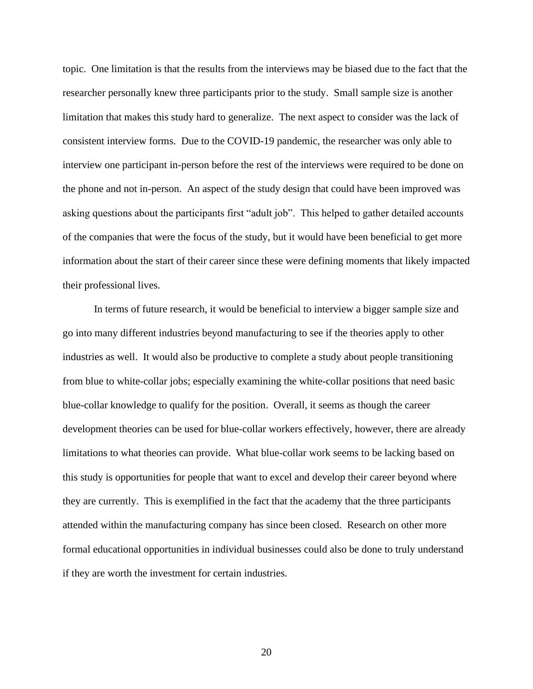topic. One limitation is that the results from the interviews may be biased due to the fact that the researcher personally knew three participants prior to the study. Small sample size is another limitation that makes this study hard to generalize. The next aspect to consider was the lack of consistent interview forms. Due to the COVID-19 pandemic, the researcher was only able to interview one participant in-person before the rest of the interviews were required to be done on the phone and not in-person. An aspect of the study design that could have been improved was asking questions about the participants first "adult job". This helped to gather detailed accounts of the companies that were the focus of the study, but it would have been beneficial to get more information about the start of their career since these were defining moments that likely impacted their professional lives.

In terms of future research, it would be beneficial to interview a bigger sample size and go into many different industries beyond manufacturing to see if the theories apply to other industries as well. It would also be productive to complete a study about people transitioning from blue to white-collar jobs; especially examining the white-collar positions that need basic blue-collar knowledge to qualify for the position. Overall, it seems as though the career development theories can be used for blue-collar workers effectively, however, there are already limitations to what theories can provide. What blue-collar work seems to be lacking based on this study is opportunities for people that want to excel and develop their career beyond where they are currently. This is exemplified in the fact that the academy that the three participants attended within the manufacturing company has since been closed. Research on other more formal educational opportunities in individual businesses could also be done to truly understand if they are worth the investment for certain industries.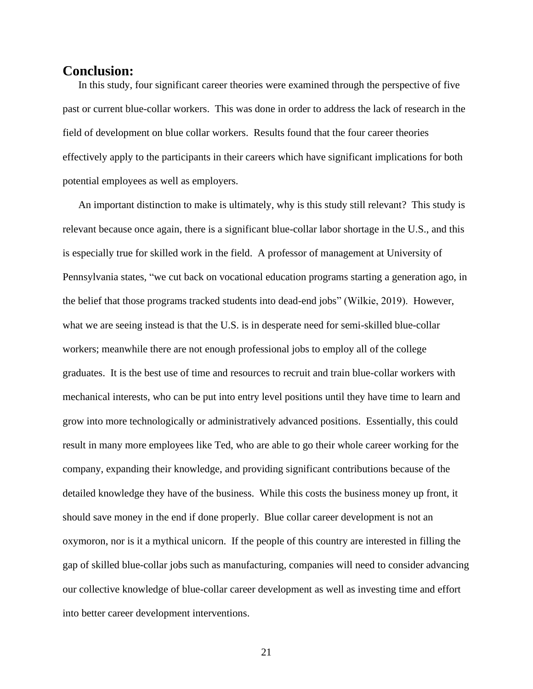#### **Conclusion:**

In this study, four significant career theories were examined through the perspective of five past or current blue-collar workers. This was done in order to address the lack of research in the field of development on blue collar workers. Results found that the four career theories effectively apply to the participants in their careers which have significant implications for both potential employees as well as employers.

An important distinction to make is ultimately, why is this study still relevant? This study is relevant because once again, there is a significant blue-collar labor shortage in the U.S., and this is especially true for skilled work in the field. A professor of management at University of Pennsylvania states, "we cut back on vocational education programs starting a generation ago, in the belief that those programs tracked students into dead-end jobs" (Wilkie, 2019). However, what we are seeing instead is that the U.S. is in desperate need for semi-skilled blue-collar workers; meanwhile there are not enough professional jobs to employ all of the college graduates. It is the best use of time and resources to recruit and train blue-collar workers with mechanical interests, who can be put into entry level positions until they have time to learn and grow into more technologically or administratively advanced positions. Essentially, this could result in many more employees like Ted, who are able to go their whole career working for the company, expanding their knowledge, and providing significant contributions because of the detailed knowledge they have of the business. While this costs the business money up front, it should save money in the end if done properly. Blue collar career development is not an oxymoron, nor is it a mythical unicorn. If the people of this country are interested in filling the gap of skilled blue-collar jobs such as manufacturing, companies will need to consider advancing our collective knowledge of blue-collar career development as well as investing time and effort into better career development interventions.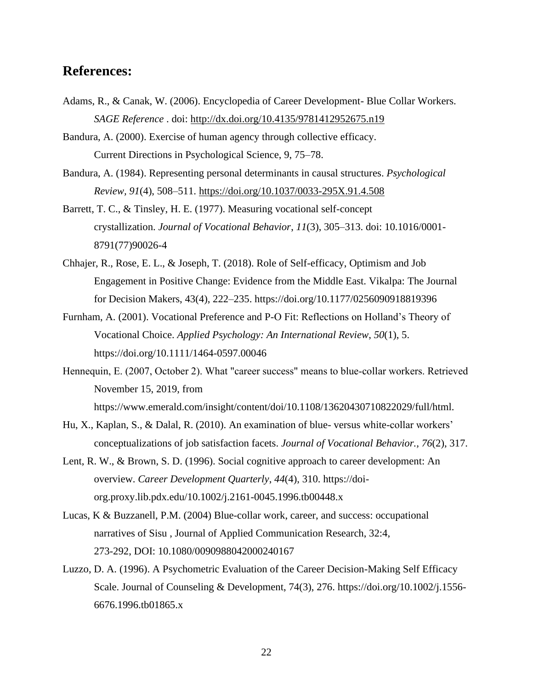## **References:**

- Adams, R., & Canak, W. (2006). Encyclopedia of Career Development- Blue Collar Workers. *SAGE Reference* . doi:<http://dx.doi.org/10.4135/9781412952675.n19>
- Bandura, A. (2000). Exercise of human agency through collective efficacy. Current Directions in Psychological Science, 9, 75–78.
- Bandura, A. (1984). Representing personal determinants in causal structures. *Psychological Review, 91*(4), 508–511. [https://doi.org/10.1037/0033-295X.91.4.508](https://psycnet.apa.org/doi/10.1037/0033-295X.91.4.508)
- Barrett, T. C., & Tinsley, H. E. (1977). Measuring vocational self-concept crystallization. *Journal of Vocational Behavior*, *11*(3), 305–313. doi: 10.1016/0001- 8791(77)90026-4
- Chhajer, R., Rose, E. L., & Joseph, T. (2018). Role of Self-efficacy, Optimism and Job Engagement in Positive Change: Evidence from the Middle East. Vikalpa: The Journal for Decision Makers, 43(4), 222–235. https://doi.org/10.1177/0256090918819396
- Furnham, A. (2001). Vocational Preference and P-O Fit: Reflections on Holland's Theory of Vocational Choice. *Applied Psychology: An International Review*, *50*(1), 5. https://doi.org/10.1111/1464-0597.00046
- Hennequin, E. (2007, October 2). What "career success" means to blue-collar workers. Retrieved November 15, 2019, from https://www.emerald.com/insight/content/doi/10.1108/13620430710822029/full/html.
- Hu, X., Kaplan, S., & Dalal, R. (2010). An examination of blue- versus white-collar workers' conceptualizations of job satisfaction facets. *Journal of Vocational Behavior., 76*(2), 317.
- Lent, R. W., & Brown, S. D. (1996). Social cognitive approach to career development: An overview. *Career Development Quarterly*, *44*(4), 310. https://doiorg.proxy.lib.pdx.edu/10.1002/j.2161-0045.1996.tb00448.x
- Lucas, K & Buzzanell, P.M. (2004) Blue-collar work, career, and success: occupational narratives of Sisu , Journal of Applied Communication Research, 32:4, 273-292, DOI: 10.1080/0090988042000240167
- Luzzo, D. A. (1996). A Psychometric Evaluation of the Career Decision-Making Self Efficacy Scale. Journal of Counseling & Development, 74(3), 276. https://doi.org/10.1002/j.1556-6676.1996.tb01865.x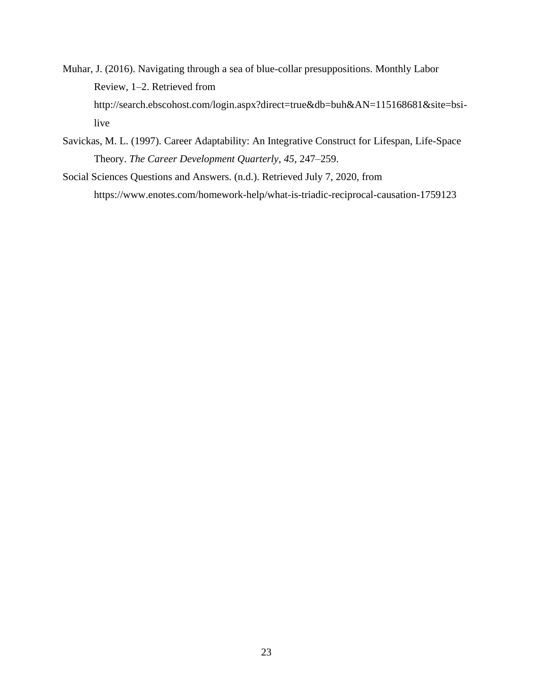- Muhar, J. (2016). Navigating through a sea of blue-collar presuppositions. Monthly Labor Review, 1–2. Retrieved from http://search.ebscohost.com/login.aspx?direct=true&db=buh&AN=115168681&site=bsilive
- Savickas, M. L. (1997). Career Adaptability: An Integrative Construct for Lifespan, Life-Space Theory. *The Career Development Quarterly*, *45*, 247–259.
- Social Sciences Questions and Answers. (n.d.). Retrieved July 7, 2020, from https://www.enotes.com/homework-help/what-is-triadic-reciprocal-causation-1759123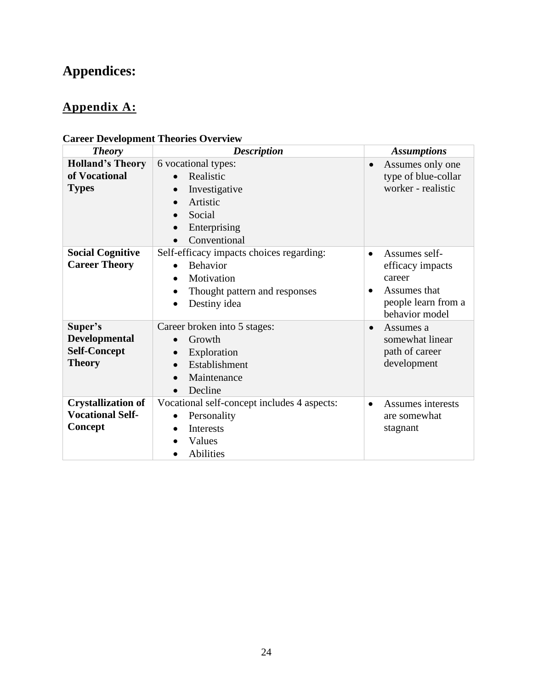# **Appendices:**

# **Appendix A:**

| <b>Theory</b>                                                           | <b>Description</b>                                                                                                                                                             | <b>Assumptions</b>                                                                                                             |
|-------------------------------------------------------------------------|--------------------------------------------------------------------------------------------------------------------------------------------------------------------------------|--------------------------------------------------------------------------------------------------------------------------------|
| <b>Holland's Theory</b><br>of Vocational<br><b>Types</b>                | 6 vocational types:<br>Realistic<br>Investigative<br>$\bullet$<br>Artistic<br>Social<br>Enterprising<br>$\bullet$<br>Conventional                                              | Assumes only one<br>$\bullet$<br>type of blue-collar<br>worker - realistic                                                     |
| <b>Social Cognitive</b><br><b>Career Theory</b>                         | Self-efficacy impacts choices regarding:<br><b>Behavior</b><br>$\bullet$<br>Motivation<br>$\bullet$<br>Thought pattern and responses<br>$\bullet$<br>Destiny idea<br>$\bullet$ | Assumes self-<br>$\bullet$<br>efficacy impacts<br>career<br>Assumes that<br>$\bullet$<br>people learn from a<br>behavior model |
| Super's<br><b>Developmental</b><br><b>Self-Concept</b><br><b>Theory</b> | Career broken into 5 stages:<br>Growth<br>$\bullet$<br>Exploration<br>$\bullet$<br>Establishment<br>$\bullet$<br>Maintenance<br>$\bullet$<br>Decline<br>$\bullet$              | Assumes a<br>$\bullet$<br>somewhat linear<br>path of career<br>development                                                     |
| <b>Crystallization of</b><br><b>Vocational Self-</b><br>Concept         | Vocational self-concept includes 4 aspects:<br>Personality<br>$\bullet$<br><b>Interests</b><br>$\bullet$<br>Values<br>Abilities<br>$\bullet$                                   | Assumes interests<br>$\bullet$<br>are somewhat<br>stagnant                                                                     |

## **Career Development Theories Overview**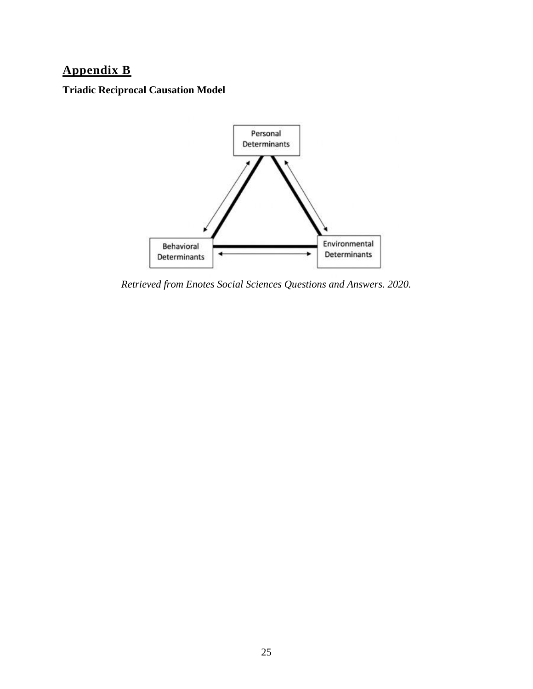# **Appendix B**

**Triadic Reciprocal Causation Model**



*Retrieved from Enotes Social Sciences Questions and Answers. 2020.*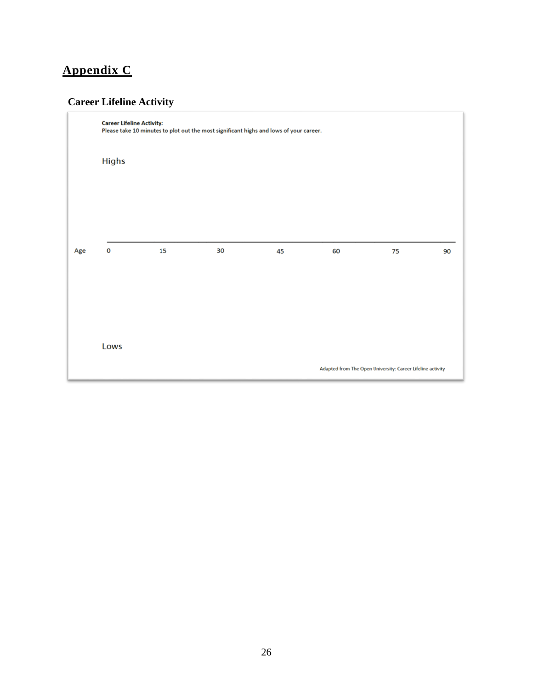# **Appendix C**

## **Career Lifeline Activity**

|     | <b>Career Lifeline Activity:</b><br>Please take 10 minutes to plot out the most significant highs and lows of your career. |    |    |    |                                                            |    |    |  |  |  |
|-----|----------------------------------------------------------------------------------------------------------------------------|----|----|----|------------------------------------------------------------|----|----|--|--|--|
|     | <b>Highs</b>                                                                                                               |    |    |    |                                                            |    |    |  |  |  |
|     |                                                                                                                            |    |    |    |                                                            |    |    |  |  |  |
|     |                                                                                                                            |    |    |    |                                                            |    |    |  |  |  |
| Age | $\mathbf 0$                                                                                                                | 15 | 30 | 45 | 60                                                         | 75 | 90 |  |  |  |
|     |                                                                                                                            |    |    |    |                                                            |    |    |  |  |  |
|     |                                                                                                                            |    |    |    |                                                            |    |    |  |  |  |
|     | Lows                                                                                                                       |    |    |    | Adapted from The Open University: Career Lifeline activity |    |    |  |  |  |